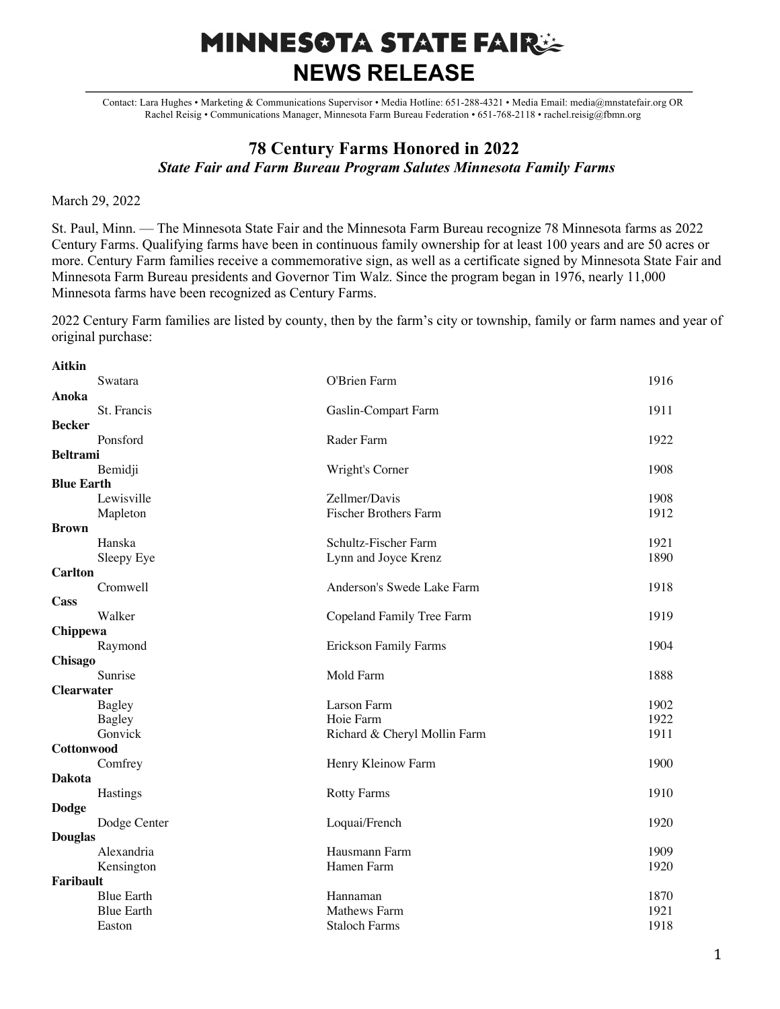## **MINNESOTA STATE FAIRSE NEWS RELEASE**

Contact: Lara Hughes • Marketing & Communications Supervisor • Media Hotline: 651-288-4321 • Media Email: media@mnstatefair.org OR Rachel Reisig • Communications Manager, Minnesota Farm Bureau Federation • 651-768-2118 • rachel.reisig@fbmn.org

## **78 Century Farms Honored in 2022** *State Fair and Farm Bureau Program Salutes Minnesota Family Farms*

March 29, 2022

St. Paul, Minn. — The Minnesota State Fair and the Minnesota Farm Bureau recognize 78 Minnesota farms as 2022 Century Farms. Qualifying farms have been in continuous family ownership for at least 100 years and are 50 acres or more. Century Farm families receive a commemorative sign, as well as a certificate signed by Minnesota State Fair and Minnesota Farm Bureau presidents and Governor Tim Walz. Since the program began in 1976, nearly 11,000 Minnesota farms have been recognized as Century Farms.

2022 Century Farm families are listed by county, then by the farm's city or township, family or farm names and year of original purchase:

| Aitkin            |                   |                              |      |
|-------------------|-------------------|------------------------------|------|
|                   | Swatara           | O'Brien Farm                 | 1916 |
| Anoka             |                   |                              |      |
|                   | St. Francis       | Gaslin-Compart Farm          | 1911 |
| <b>Becker</b>     |                   |                              |      |
|                   | Ponsford          | Rader Farm                   | 1922 |
| <b>Beltrami</b>   |                   |                              |      |
|                   | Bemidji           | Wright's Corner              | 1908 |
| <b>Blue Earth</b> |                   |                              |      |
|                   | Lewisville        | Zellmer/Davis                | 1908 |
|                   | Mapleton          | <b>Fischer Brothers Farm</b> | 1912 |
| <b>Brown</b>      |                   |                              |      |
|                   | Hanska            | Schultz-Fischer Farm         | 1921 |
|                   | Sleepy Eye        | Lynn and Joyce Krenz         | 1890 |
| <b>Carlton</b>    |                   |                              |      |
|                   | Cromwell          | Anderson's Swede Lake Farm   | 1918 |
| Cass              |                   |                              |      |
|                   | Walker            | Copeland Family Tree Farm    | 1919 |
| Chippewa          |                   |                              |      |
|                   | Raymond           | <b>Erickson Family Farms</b> | 1904 |
| Chisago           |                   |                              |      |
|                   | Sunrise           | Mold Farm                    | 1888 |
| <b>Clearwater</b> |                   |                              |      |
|                   | <b>Bagley</b>     | Larson Farm                  | 1902 |
|                   | <b>Bagley</b>     | Hoie Farm                    | 1922 |
|                   | Gonvick           | Richard & Cheryl Mollin Farm | 1911 |
| Cottonwood        |                   |                              |      |
|                   | Comfrey           | Henry Kleinow Farm           | 1900 |
| <b>Dakota</b>     |                   |                              |      |
|                   | Hastings          | <b>Rotty Farms</b>           | 1910 |
| <b>Dodge</b>      |                   |                              |      |
|                   | Dodge Center      | Loquai/French                | 1920 |
| <b>Douglas</b>    | Alexandria        | Hausmann Farm                |      |
|                   |                   |                              | 1909 |
| <b>Faribault</b>  | Kensington        | Hamen Farm                   | 1920 |
|                   | <b>Blue Earth</b> |                              | 1870 |
|                   | <b>Blue Earth</b> | Hannaman                     | 1921 |
|                   |                   | <b>Mathews Farm</b>          | 1918 |
|                   | Easton            | <b>Staloch Farms</b>         |      |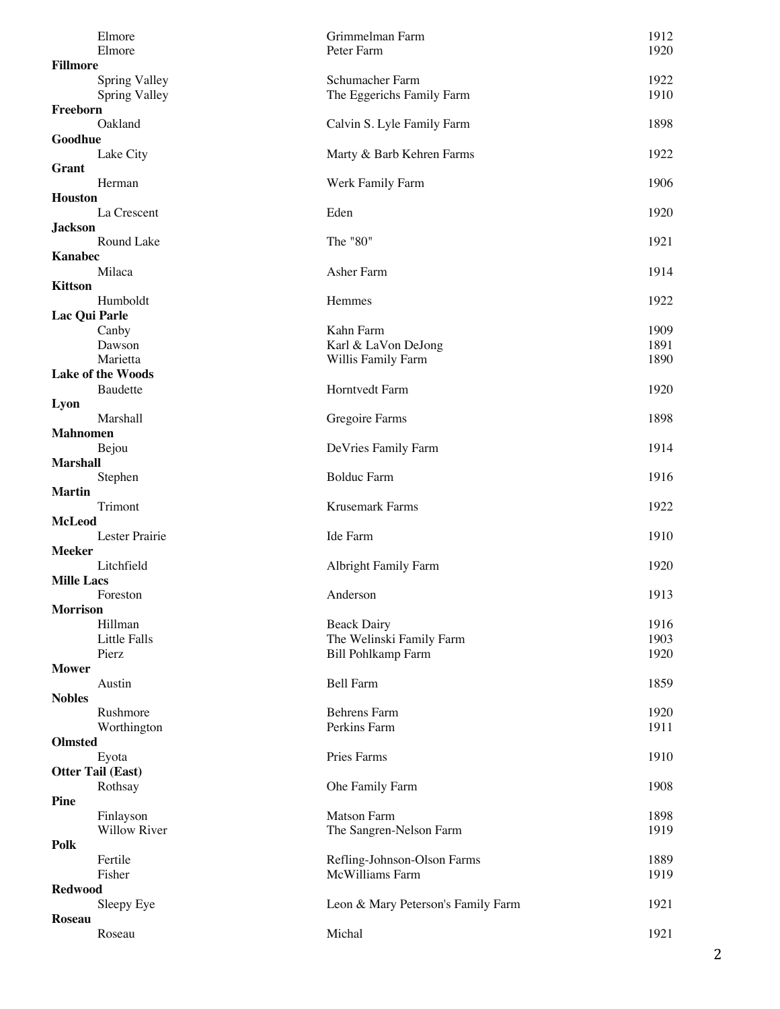| Elmore<br>Elmore               | Grimmelman Farm<br>Peter Farm                | 1912<br>1920 |
|--------------------------------|----------------------------------------------|--------------|
| <b>Fillmore</b>                |                                              |              |
| Spring Valley<br>Spring Valley | Schumacher Farm<br>The Eggerichs Family Farm | 1922<br>1910 |
| Freeborn                       |                                              |              |
| Oakland<br>Goodhue             | Calvin S. Lyle Family Farm                   | 1898         |
| Lake City                      | Marty & Barb Kehren Farms                    | 1922         |
| <b>Grant</b><br>Herman         | Werk Family Farm                             | 1906         |
| <b>Houston</b>                 |                                              |              |
| La Crescent                    | Eden                                         | 1920         |
| <b>Jackson</b>                 |                                              |              |
| Round Lake                     | The "80"                                     | 1921         |
| <b>Kanabec</b>                 |                                              |              |
| Milaca                         | Asher Farm                                   | 1914         |
| <b>Kittson</b>                 |                                              |              |
|                                |                                              |              |
| Humboldt                       | Hemmes                                       | 1922         |
| Lac Qui Parle                  |                                              |              |
| Canby                          | Kahn Farm                                    | 1909         |
| Dawson                         | Karl & LaVon DeJong                          | 1891         |
| Marietta                       | Willis Family Farm                           | 1890         |
| <b>Lake of the Woods</b>       |                                              |              |
| Baudette                       | Horntvedt Farm                               | 1920         |
| Lyon                           |                                              |              |
| Marshall                       | Gregoire Farms                               | 1898         |
|                                |                                              |              |
| <b>Mahnomen</b>                |                                              |              |
| Bejou                          | DeVries Family Farm                          | 1914         |
| <b>Marshall</b>                |                                              |              |
| Stephen                        | <b>Bolduc Farm</b>                           | 1916         |
| <b>Martin</b>                  |                                              |              |
| Trimont                        | Krusemark Farms                              | 1922         |
| <b>McLeod</b>                  |                                              |              |
| Lester Prairie                 | Ide Farm                                     | 1910         |
| <b>Meeker</b>                  |                                              |              |
| Litchfield                     | <b>Albright Family Farm</b>                  | 1920         |
| <b>Mille Lacs</b>              |                                              |              |
|                                |                                              |              |
| Foreston                       | Anderson                                     | 1913         |
| <b>Morrison</b>                |                                              |              |
| Hillman                        | <b>Beack Dairy</b>                           | 1916         |
| Little Falls                   | The Welinski Family Farm                     | 1903         |
| Pierz                          | <b>Bill Pohlkamp Farm</b>                    | 1920         |
| <b>Mower</b>                   |                                              |              |
| Austin                         | <b>Bell Farm</b>                             | 1859         |
| <b>Nobles</b>                  |                                              |              |
| Rushmore                       | <b>Behrens Farm</b>                          | 1920         |
| Worthington                    | Perkins Farm                                 | 1911         |
| <b>Olmsted</b>                 |                                              |              |
|                                |                                              |              |
| Eyota                          | Pries Farms                                  | 1910         |
| <b>Otter Tail (East)</b>       |                                              |              |
| Rothsay                        | Ohe Family Farm                              | 1908         |
| <b>Pine</b>                    |                                              |              |
| Finlayson                      | <b>Matson Farm</b>                           | 1898         |
| Willow River                   | The Sangren-Nelson Farm                      | 1919         |
| Polk                           |                                              |              |
| Fertile                        | Refling-Johnson-Olson Farms                  | 1889         |
| Fisher                         | McWilliams Farm                              | 1919         |
| <b>Redwood</b>                 |                                              |              |
| Sleepy Eye                     | Leon & Mary Peterson's Family Farm           | 1921         |
|                                |                                              |              |
| <b>Roseau</b>                  |                                              |              |
| Roseau                         | Michal                                       | 1921         |